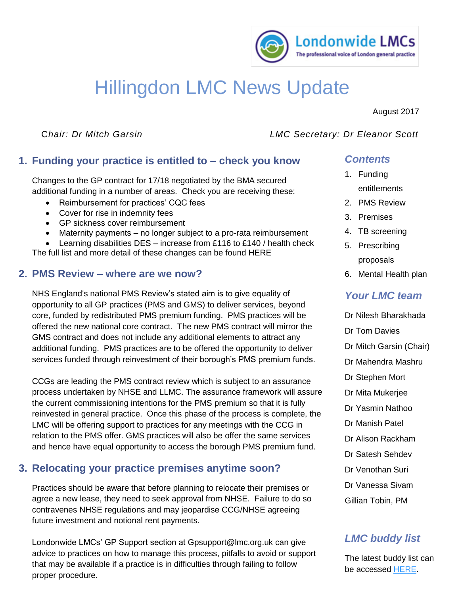

# Hillingdon LMC News Update

August 2017

## C*hair: Dr Mitch Garsin LMC Secretary: Dr Eleanor Scott*

# **1. Funding your practice is entitled to – check you know**

additional funding in a number of areas. Check you are receiving these: Changes to the GP contract for 17/18 negotiated by the BMA secured

- Reimbursement for practices' CQC fees
- Cover for rise in indemnity fees
- GP sickness cover reimbursement
- Maternity payments no longer subject to a pro-rata reimbursement
- Learning disabilities  $DES -$  increase from £116 to £140 / health check The full list and more detail of these changes can be found [HERE](https://www.lmc.org.uk/article.php?group_id=16601)

# **2. PMS Review – where are we now?**

NHS England's national PMS Review's stated aim is to give equality of opportunity to all GP practices (PMS and GMS) to deliver services, beyond core, funded by redistributed PMS premium funding. PMS practices will be offered the new national core contract. The new PMS contract will mirror the GMS contract and does not include any additional elements to attract any additional funding. PMS practices are to be offered the opportunity to deliver services funded through reinvestment of their borough's PMS premium funds.

CCGs are leading the PMS contract review which is subject to an assurance process undertaken by NHSE and LLMC. The assurance framework will assure the current commissioning intentions for the PMS premium so that it is fully reinvested in general practice. Once this phase of the process is complete, the LMC will be offering support to practices for any meetings with the CCG in relation to the PMS offer. GMS practices will also be offer the same services and hence have equal opportunity to access the borough PMS premium fund.

# **3. Relocating your practice premises anytime soon?**

Practices should be aware that before planning to relocate their premises or agree a new lease, they need to seek approval from NHSE. Failure to do so contravenes NHSE regulations and may jeopardise CCG/NHSE agreeing future investment and notional rent payments.

Londonwide LMCs' GP Support section at [Gpsupport@lmc.org.uk](mailto:Gpsupport@lmc.org.uk) can give advice to practices on how to manage this process, pitfalls to avoid or support that may be available if a practice is in difficulties through failing to follow proper procedure.

# *Contents*

- 1. Funding entitlements
- 2. PMS Review
- 3. Premises
- 4. TB screening
- 5. Prescribing proposals
- 6. Mental Health plan

# *Your LMC team*

- Dr Nilesh Bharakhada
- Dr Tom Davies
- Dr Mitch Garsin (Chair)
- Dr Mahendra Mashru
- Dr Stephen Mort
- Dr Mita Mukerjee
- Dr Yasmin Nathoo
- Dr Manish Patel
- Dr Alison Rackham
- Dr Satesh Sehdev
- Dr Venothan Suri
- Dr Vanessa Sivam
- Gillian Tobin, PM

# *LMC buddy list*

The latest buddy list can be accessed [HERE.](https://www.lmc.org.uk/visageimages/Hillingdon%20Buddy%20working%20fact%20sheet%20and%20list%20of%20buddies%202017-07-21.pdf)